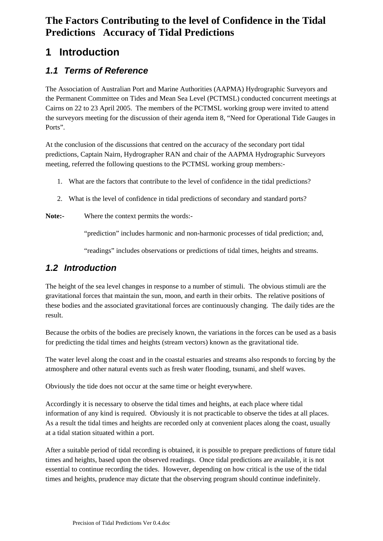## **1 Introduction**

## *1.1 Terms of Reference*

The Association of Australian Port and Marine Authorities (AAPMA) Hydrographic Surveyors and the Permanent Committee on Tides and Mean Sea Level (PCTMSL) conducted concurrent meetings at Cairns on 22 to 23 April 2005. The members of the PCTMSL working group were invited to attend the surveyors meeting for the discussion of their agenda item 8, "Need for Operational Tide Gauges in Ports".

At the conclusion of the discussions that centred on the accuracy of the secondary port tidal predictions, Captain Nairn, Hydrographer RAN and chair of the AAPMA Hydrographic Surveyors meeting, referred the following questions to the PCTMSL working group members:-

- 1. What are the factors that contribute to the level of confidence in the tidal predictions?
- 2. What is the level of confidence in tidal predictions of secondary and standard ports?

### **Note:-** Where the context permits the words:-

"prediction" includes harmonic and non-harmonic processes of tidal prediction; and,

"readings" includes observations or predictions of tidal times, heights and streams.

## *1.2 Introduction*

The height of the sea level changes in response to a number of stimuli. The obvious stimuli are the gravitational forces that maintain the sun, moon, and earth in their orbits. The relative positions of these bodies and the associated gravitational forces are continuously changing. The daily tides are the result.

Because the orbits of the bodies are precisely known, the variations in the forces can be used as a basis for predicting the tidal times and heights (stream vectors) known as the gravitational tide.

The water level along the coast and in the coastal estuaries and streams also responds to forcing by the atmosphere and other natural events such as fresh water flooding, tsunami, and shelf waves.

Obviously the tide does not occur at the same time or height everywhere.

Accordingly it is necessary to observe the tidal times and heights, at each place where tidal information of any kind is required. Obviously it is not practicable to observe the tides at all places. As a result the tidal times and heights are recorded only at convenient places along the coast, usually at a tidal station situated within a port.

After a suitable period of tidal recording is obtained, it is possible to prepare predictions of future tidal times and heights, based upon the observed readings. Once tidal predictions are available, it is not essential to continue recording the tides. However, depending on how critical is the use of the tidal times and heights, prudence may dictate that the observing program should continue indefinitely.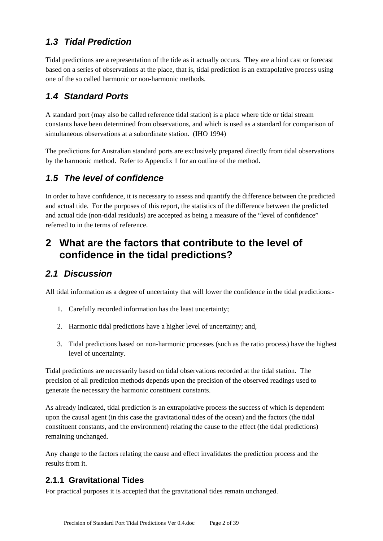## *1.3 Tidal Prediction*

Tidal predictions are a representation of the tide as it actually occurs. They are a hind cast or forecast based on a series of observations at the place, that is, tidal prediction is an extrapolative process using one of the so called harmonic or non-harmonic methods.

## *1.4 Standard Ports*

A standard port (may also be called reference tidal station) is a place where tide or tidal stream constants have been determined from observations, and which is used as a standard for comparison of simultaneous observations at a subordinate station. (IHO 1994)

The predictions for Australian standard ports are exclusively prepared directly from tidal observations by the harmonic method. Refer to Appendix 1 for an outline of the method.

## *1.5 The level of confidence*

In order to have confidence, it is necessary to assess and quantify the difference between the predicted and actual tide. For the purposes of this report, the statistics of the difference between the predicted and actual tide (non-tidal residuals) are accepted as being a measure of the "level of confidence" referred to in the terms of reference.

## **2 What are the factors that contribute to the level of confidence in the tidal predictions?**

## *2.1 Discussion*

All tidal information as a degree of uncertainty that will lower the confidence in the tidal predictions:-

- 1. Carefully recorded information has the least uncertainty;
- 2. Harmonic tidal predictions have a higher level of uncertainty; and,
- 3. Tidal predictions based on non-harmonic processes (such as the ratio process) have the highest level of uncertainty.

Tidal predictions are necessarily based on tidal observations recorded at the tidal station. The precision of all prediction methods depends upon the precision of the observed readings used to generate the necessary the harmonic constituent constants.

As already indicated, tidal prediction is an extrapolative process the success of which is dependent upon the causal agent (in this case the gravitational tides of the ocean) and the factors (the tidal constituent constants, and the environment) relating the cause to the effect (the tidal predictions) remaining unchanged.

Any change to the factors relating the cause and effect invalidates the prediction process and the results from it.

## **2.1.1 Gravitational Tides**

For practical purposes it is accepted that the gravitational tides remain unchanged.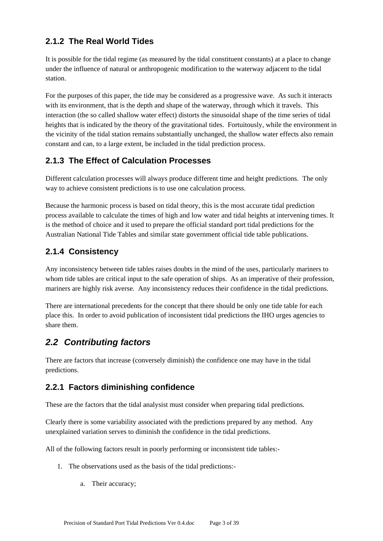### **2.1.2 The Real World Tides**

It is possible for the tidal regime (as measured by the tidal constituent constants) at a place to change under the influence of natural or anthropogenic modification to the waterway adjacent to the tidal station.

For the purposes of this paper, the tide may be considered as a progressive wave. As such it interacts with its environment, that is the depth and shape of the waterway, through which it travels. This interaction (the so called shallow water effect) distorts the sinusoidal shape of the time series of tidal heights that is indicated by the theory of the gravitational tides. Fortuitously, while the environment in the vicinity of the tidal station remains substantially unchanged, the shallow water effects also remain constant and can, to a large extent, be included in the tidal prediction process.

### **2.1.3 The Effect of Calculation Processes**

Different calculation processes will always produce different time and height predictions. The only way to achieve consistent predictions is to use one calculation process.

Because the harmonic process is based on tidal theory, this is the most accurate tidal prediction process available to calculate the times of high and low water and tidal heights at intervening times. It is the method of choice and it used to prepare the official standard port tidal predictions for the Australian National Tide Tables and similar state government official tide table publications.

### **2.1.4 Consistency**

Any inconsistency between tide tables raises doubts in the mind of the uses, particularly mariners to whom tide tables are critical input to the safe operation of ships. As an imperative of their profession, mariners are highly risk averse. Any inconsistency reduces their confidence in the tidal predictions.

There are international precedents for the concept that there should be only one tide table for each place this. In order to avoid publication of inconsistent tidal predictions the IHO urges agencies to share them.

## *2.2 Contributing factors*

There are factors that increase (conversely diminish) the confidence one may have in the tidal predictions.

## **2.2.1 Factors diminishing confidence**

These are the factors that the tidal analysist must consider when preparing tidal predictions.

Clearly there is some variability associated with the predictions prepared by any method. Any unexplained variation serves to diminish the confidence in the tidal predictions.

All of the following factors result in poorly performing or inconsistent tide tables:-

- 1. The observations used as the basis of the tidal predictions:
	- a. Their accuracy;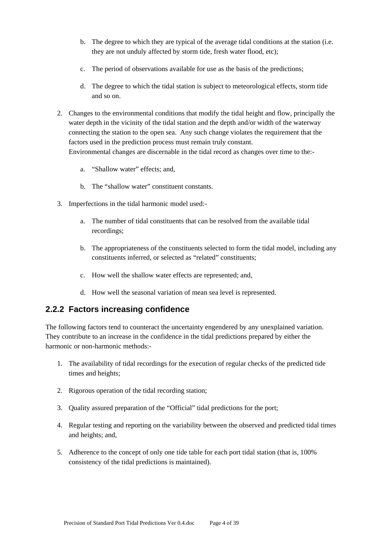- b. The degree to which they are typical of the average tidal conditions at the station (i.e. they are not unduly affected by storm tide, fresh water flood, etc);
- c. The period of observations available for use as the basis of the predictions;
- d. The degree to which the tidal station is subject to meteorological effects, storm tide and so on.
- 2. Changes to the environmental conditions that modify the tidal height and flow, principally the water depth in the vicinity of the tidal station and the depth and/or width of the waterway connecting the station to the open sea. Any such change violates the requirement that the factors used in the prediction process must remain truly constant. Environmental changes are discernable in the tidal record as changes over time to the:
	- a. "Shallow water" effects; and,
	- b. The "shallow water" constituent constants.
- 3. Imperfections in the tidal harmonic model used:
	- a. The number of tidal constituents that can be resolved from the available tidal recordings;
	- b. The appropriateness of the constituents selected to form the tidal model, including any constituents inferred, or selected as "related" constituents;
	- c. How well the shallow water effects are represented; and,
	- d. How well the seasonal variation of mean sea level is represented.

### **2.2.2 Factors increasing confidence**

The following factors tend to counteract the uncertainty engendered by any unexplained variation. They contribute to an increase in the confidence in the tidal predictions prepared by either the harmonic or non-harmonic methods:-

- 1. The availability of tidal recordings for the execution of regular checks of the predicted tide times and heights;
- 2. Rigorous operation of the tidal recording station;
- 3. Quality assured preparation of the "Official" tidal predictions for the port;
- 4. Regular testing and reporting on the variability between the observed and predicted tidal times and heights; and,
- 5. Adherence to the concept of only one tide table for each port tidal station (that is, 100% consistency of the tidal predictions is maintained).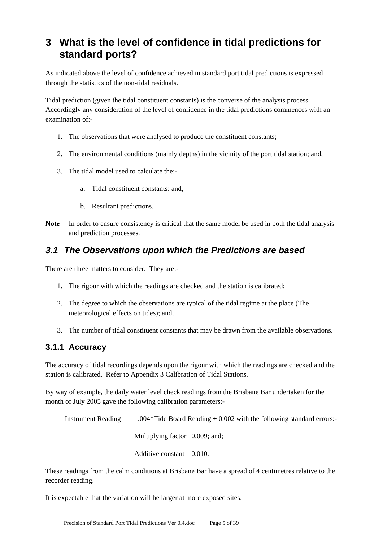## **3 What is the level of confidence in tidal predictions for standard ports?**

As indicated above the level of confidence achieved in standard port tidal predictions is expressed through the statistics of the non-tidal residuals.

Tidal prediction (given the tidal constituent constants) is the converse of the analysis process. Accordingly any consideration of the level of confidence in the tidal predictions commences with an examination of:-

- 1. The observations that were analysed to produce the constituent constants;
- 2. The environmental conditions (mainly depths) in the vicinity of the port tidal station; and,
- 3. The tidal model used to calculate the:
	- a. Tidal constituent constants: and,
	- b. Resultant predictions.
- **Note** In order to ensure consistency is critical that the same model be used in both the tidal analysis and prediction processes.

### *3.1 The Observations upon which the Predictions are based*

There are three matters to consider. They are:-

- 1. The rigour with which the readings are checked and the station is calibrated;
- 2. The degree to which the observations are typical of the tidal regime at the place (The meteorological effects on tides); and,
- 3. The number of tidal constituent constants that may be drawn from the available observations.

### **3.1.1 Accuracy**

The accuracy of tidal recordings depends upon the rigour with which the readings are checked and the station is calibrated. Refer to Appendix 3 Calibration of Tidal Stations.

By way of example, the daily water level check readings from the Brisbane Bar undertaken for the month of July 2005 gave the following calibration parameters:-

Instrument Reading  $= 1.004*$  Tide Board Reading  $+ 0.002$  with the following standard errors: Multiplying factor 0.009; and; Additive constant 0.010.

These readings from the calm conditions at Brisbane Bar have a spread of 4 centimetres relative to the recorder reading.

It is expectable that the variation will be larger at more exposed sites.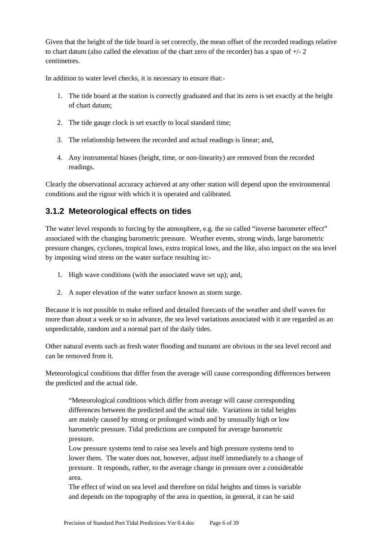Given that the height of the tide board is set correctly, the mean offset of the recorded readings relative to chart datum (also called the elevation of the chart zero of the recorder) has a span of +/- 2 centimetres.

In addition to water level checks, it is necessary to ensure that:-

- 1. The tide board at the station is correctly graduated and that its zero is set exactly at the height of chart datum;
- 2. The tide gauge clock is set exactly to local standard time;
- 3. The relationship between the recorded and actual readings is linear; and,
- 4. Any instrumental biases (height, time, or non-linearity) are removed from the recorded readings.

Clearly the observational accuracy achieved at any other station will depend upon the environmental conditions and the rigour with which it is operated and calibrated.

### **3.1.2 Meteorological effects on tides**

The water level responds to forcing by the atmosphere, e.g. the so called "inverse barometer effect" associated with the changing barometric pressure. Weather events, strong winds, large barometric pressure changes, cyclones, tropical lows, extra tropical lows, and the like, also impact on the sea level by imposing wind stress on the water surface resulting in:-

- 1. High wave conditions (with the associated wave set up); and,
- 2. A super elevation of the water surface known as storm surge.

Because it is not possible to make refined and detailed forecasts of the weather and shelf waves for more than about a week or so in advance, the sea level variations associated with it are regarded as an unpredictable, random and a normal part of the daily tides.

Other natural events such as fresh water flooding and tsunami are obvious in the sea level record and can be removed from it.

Meteorological conditions that differ from the average will cause corresponding differences between the predicted and the actual tide.

"Meteorological conditions which differ from average will cause corresponding differences between the predicted and the actual tide. Variations in tidal heights are mainly caused by strong or prolonged winds and by unusually high or low barometric pressure. Tidal predictions are computed for average barometric pressure.

Low pressure systems tend to raise sea levels and high pressure systems tend to lower them. The water does not, however, adjust itself immediately to a change of pressure. It responds, rather, to the average change in pressure over a considerable area.

The effect of wind on sea level and therefore on tidal heights and times is variable and depends on the topography of the area in question, in general, it can be said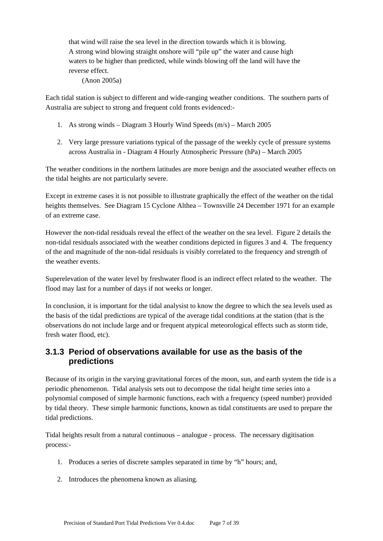that wind will raise the sea level in the direction towards which it is blowing. A strong wind blowing straight onshore will "pile up" the water and cause high waters to be higher than predicted, while winds blowing off the land will have the reverse effect.

(Anon 2005a)

Each tidal station is subject to different and wide-ranging weather conditions. The southern parts of Australia are subject to strong and frequent cold fronts evidenced:-

- 1. As strong winds Diagram 3 Hourly Wind Speeds (m/s) March 2005
- 2. Very large pressure variations typical of the passage of the weekly cycle of pressure systems across Australia in - Diagram 4 Hourly Atmospheric Pressure (hPa) – March 2005

The weather conditions in the northern latitudes are more benign and the associated weather effects on the tidal heights are not particularly severe.

Except in extreme cases it is not possible to illustrate graphically the effect of the weather on the tidal heights themselves. See Diagram 15 Cyclone Althea – Townsville 24 December 1971 for an example of an extreme case.

However the non-tidal residuals reveal the effect of the weather on the sea level. Figure 2 details the non-tidal residuals associated with the weather conditions depicted in figures 3 and 4. The frequency of the and magnitude of the non-tidal residuals is visibly correlated to the frequency and strength of the weather events.

Superelevation of the water level by freshwater flood is an indirect effect related to the weather. The flood may last for a number of days if not weeks or longer.

In conclusion, it is important for the tidal analysist to know the degree to which the sea levels used as the basis of the tidal predictions are typical of the average tidal conditions at the station (that is the observations do not include large and or frequent atypical meteorological effects such as storm tide, fresh water flood, etc).

### **3.1.3 Period of observations available for use as the basis of the predictions**

Because of its origin in the varying gravitational forces of the moon, sun, and earth system the tide is a periodic phenomenon. Tidal analysis sets out to decompose the tidal height time series into a polynomial composed of simple harmonic functions, each with a frequency (speed number) provided by tidal theory. These simple harmonic functions, known as tidal constituents are used to prepare the tidal predictions.

Tidal heights result from a natural continuous – analogue - process. The necessary digitisation process:-

- 1. Produces a series of discrete samples separated in time by "h" hours; and,
- 2. Introduces the phenomena known as aliasing.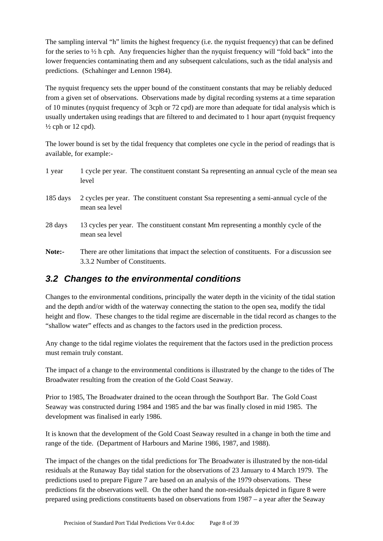The sampling interval "h" limits the highest frequency (i.e. the nyquist frequency) that can be defined for the series to ½ h cph. Any frequencies higher than the nyquist frequency will "fold back" into the lower frequencies contaminating them and any subsequent calculations, such as the tidal analysis and predictions. (Schahinger and Lennon 1984).

The nyquist frequency sets the upper bound of the constituent constants that may be reliably deduced from a given set of observations. Observations made by digital recording systems at a time separation of 10 minutes (nyquist frequency of 3cph or 72 cpd) are more than adequate for tidal analysis which is usually undertaken using readings that are filtered to and decimated to 1 hour apart (nyquist frequency  $\frac{1}{2}$  cph or 12 cpd).

The lower bound is set by the tidal frequency that completes one cycle in the period of readings that is available, for example:-

| 1 year             | 1 cycle per year. The constituent constant Sa representing an annual cycle of the mean sea<br>level                          |
|--------------------|------------------------------------------------------------------------------------------------------------------------------|
| $185 \text{ days}$ | 2 cycles per year. The constituent constant Ssa representing a semi-annual cycle of the<br>mean sea level                    |
| 28 days            | 13 cycles per year. The constituent constant Mm representing a monthly cycle of the<br>mean sea level                        |
| Note:-             | There are other limitations that impact the selection of constituents. For a discussion see<br>3.3.2 Number of Constituents. |

### *3.2 Changes to the environmental conditions*

Changes to the environmental conditions, principally the water depth in the vicinity of the tidal station and the depth and/or width of the waterway connecting the station to the open sea, modify the tidal height and flow. These changes to the tidal regime are discernable in the tidal record as changes to the "shallow water" effects and as changes to the factors used in the prediction process.

Any change to the tidal regime violates the requirement that the factors used in the prediction process must remain truly constant.

The impact of a change to the environmental conditions is illustrated by the change to the tides of The Broadwater resulting from the creation of the Gold Coast Seaway.

Prior to 1985, The Broadwater drained to the ocean through the Southport Bar. The Gold Coast Seaway was constructed during 1984 and 1985 and the bar was finally closed in mid 1985. The development was finalised in early 1986.

It is known that the development of the Gold Coast Seaway resulted in a change in both the time and range of the tide. (Department of Harbours and Marine 1986, 1987, and 1988).

The impact of the changes on the tidal predictions for The Broadwater is illustrated by the non-tidal residuals at the Runaway Bay tidal station for the observations of 23 January to 4 March 1979. The predictions used to prepare Figure 7 are based on an analysis of the 1979 observations. These predictions fit the observations well. On the other hand the non-residuals depicted in figure 8 were prepared using predictions constituents based on observations from 1987 – a year after the Seaway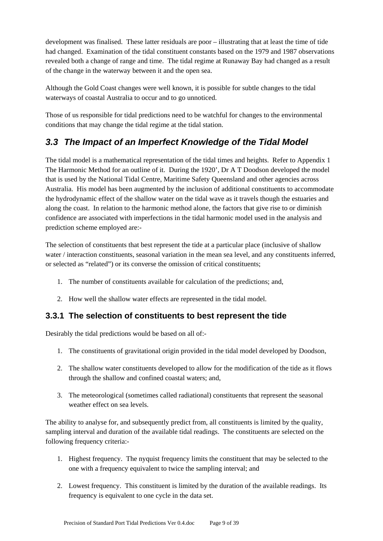development was finalised. These latter residuals are poor – illustrating that at least the time of tide had changed. Examination of the tidal constituent constants based on the 1979 and 1987 observations revealed both a change of range and time. The tidal regime at Runaway Bay had changed as a result of the change in the waterway between it and the open sea.

Although the Gold Coast changes were well known, it is possible for subtle changes to the tidal waterways of coastal Australia to occur and to go unnoticed.

Those of us responsible for tidal predictions need to be watchful for changes to the environmental conditions that may change the tidal regime at the tidal station.

## *3.3 The Impact of an Imperfect Knowledge of the Tidal Model*

The tidal model is a mathematical representation of the tidal times and heights. Refer to Appendix 1 The Harmonic Method for an outline of it. During the 1920', Dr A T Doodson developed the model that is used by the National Tidal Centre, Maritime Safety Queensland and other agencies across Australia. His model has been augmented by the inclusion of additional constituents to accommodate the hydrodynamic effect of the shallow water on the tidal wave as it travels though the estuaries and along the coast. In relation to the harmonic method alone, the factors that give rise to or diminish confidence are associated with imperfections in the tidal harmonic model used in the analysis and prediction scheme employed are:-

The selection of constituents that best represent the tide at a particular place (inclusive of shallow water / interaction constituents, seasonal variation in the mean sea level, and any constituents inferred, or selected as "related") or its converse the omission of critical constituents;

- 1. The number of constituents available for calculation of the predictions; and,
- 2. How well the shallow water effects are represented in the tidal model.

### **3.3.1 The selection of constituents to best represent the tide**

Desirably the tidal predictions would be based on all of:-

- 1. The constituents of gravitational origin provided in the tidal model developed by Doodson,
- 2. The shallow water constituents developed to allow for the modification of the tide as it flows through the shallow and confined coastal waters; and,
- 3. The meteorological (sometimes called radiational) constituents that represent the seasonal weather effect on sea levels.

The ability to analyse for, and subsequently predict from, all constituents is limited by the quality, sampling interval and duration of the available tidal readings. The constituents are selected on the following frequency criteria:-

- 1. Highest frequency. The nyquist frequency limits the constituent that may be selected to the one with a frequency equivalent to twice the sampling interval; and
- 2. Lowest frequency. This constituent is limited by the duration of the available readings. Its frequency is equivalent to one cycle in the data set.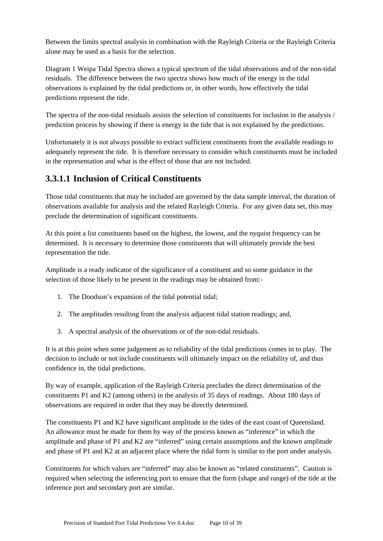Between the limits spectral analysis in combination with the Rayleigh Criteria or the Rayleigh Criteria alone may be used as a basis for the selection.

Diagram 1 Weipa Tidal Spectra shows a typical spectrum of the tidal observations and of the non-tidal residuals. The difference between the two spectra shows how much of the energy in the tidal observations is explained by the tidal predictions or, in other words, how effectively the tidal predictions represent the tide.

The spectra of the non-tidal residuals assists the selection of constituents for inclusion in the analysis / prediction process by showing if there is energy in the tide that is not explained by the predictions.

Unfortunately it is not always possible to extract sufficient constituents from the available readings to adequately represent the tide. It is therefore necessary to consider which constituents must be included in the representation and what is the effect of those that are not included.

### **3.3.1.1 Inclusion of Critical Constituents**

Those tidal constituents that may be included are governed by the data sample interval, the duration of observations available for analysis and the related Rayleigh Criteria. For any given data set, this may preclude the determination of significant constituents.

At this point a list constituents based on the highest, the lowest, and the nyquist frequency can be determined. It is necessary to determine those constituents that will ultimately provide the best representation the tide.

Amplitude is a ready indicator of the significance of a constituent and so some guidance in the selection of those likely to be present in the readings may be obtained from:-

- 1. The Doodson's expansion of the tidal potential tidal;
- 2. The amplitudes resulting from the analysis adjacent tidal station readings; and,
- 3. A spectral analysis of the observations or of the non-tidal residuals.

It is at this point when some judgement as to reliability of the tidal predictions comes in to play. The decision to include or not include constituents will ultimately impact on the reliability of, and thus confidence in, the tidal predictions.

By way of example, application of the Rayleigh Criteria precludes the direct determination of the constituents P1 and K2 (among others) in the analysis of 35 days of readings. About 180 days of observations are required in order that they may be directly determined.

The constituents P1 and K2 have significant amplitude in the tides of the east coast of Queensland. An allowance must be made for them by way of the process known as "inference" in which the amplitude and phase of P1 and K2 are "inferred" using certain assumptions and the known amplitude and phase of P1 and K2 at an adjacent place where the tidal form is similar to the port under analysis.

Constituents for which values are "inferred" may also be known as "related constituents". Caution is required when selecting the inferencing port to ensure that the form (shape and range) of the tide at the inference port and secondary port are similar.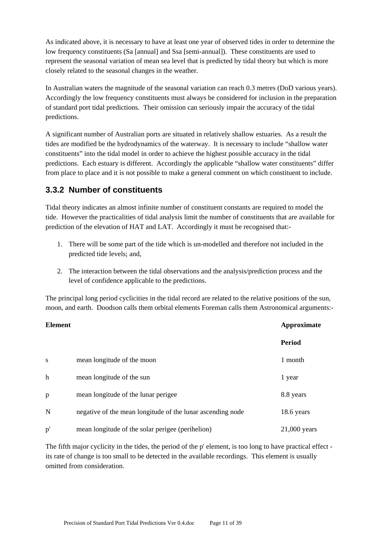As indicated above, it is necessary to have at least one year of observed tides in order to determine the low frequency constituents (Sa [annual] and Ssa [semi-annual]). These constituents are used to represent the seasonal variation of mean sea level that is predicted by tidal theory but which is more closely related to the seasonal changes in the weather.

In Australian waters the magnitude of the seasonal variation can reach 0.3 metres (DoD various years). Accordingly the low frequency constituents must always be considered for inclusion in the preparation of standard port tidal predictions. Their omission can seriously impair the accuracy of the tidal predictions.

A significant number of Australian ports are situated in relatively shallow estuaries. As a result the tides are modified be the hydrodynamics of the waterway. It is necessary to include "shallow water constituents" into the tidal model in order to achieve the highest possible accuracy in the tidal predictions. Each estuary is different. Accordingly the applicable "shallow water constituents" differ from place to place and it is not possible to make a general comment on which constituent to include.

### **3.3.2 Number of constituents**

Tidal theory indicates an almost infinite number of constituent constants are required to model the tide. However the practicalities of tidal analysis limit the number of constituents that are available for prediction of the elevation of HAT and LAT. Accordingly it must be recognised that:-

- 1. There will be some part of the tide which is un-modelled and therefore not included in the predicted tide levels; and,
- 2. The interaction between the tidal observations and the analysis/prediction process and the level of confidence applicable to the predictions.

The principal long period cyclicities in the tidal record are related to the relative positions of the sun, moon, and earth. Doodson calls them orbital elements Foreman calls them Astronomical arguments:-

| <b>Element</b> |                                                            | Approximate    |
|----------------|------------------------------------------------------------|----------------|
|                |                                                            | <b>Period</b>  |
| S              | mean longitude of the moon                                 | 1 month        |
| $\mathbf h$    | mean longitude of the sun                                  | 1 year         |
| p              | mean longitude of the lunar perigee                        | 8.8 years      |
| N              | negative of the mean longitude of the lunar ascending node | 18.6 years     |
| p'             | mean longitude of the solar perigee (perihelion)           | $21,000$ years |

The fifth major cyclicity in the tides, the period of the p' element, is too long to have practical effect its rate of change is too small to be detected in the available recordings. This element is usually omitted from consideration.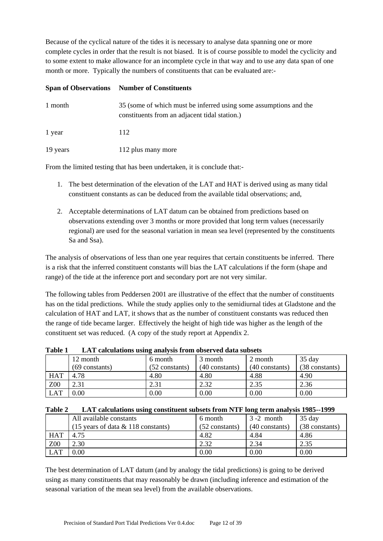Because of the cyclical nature of the tides it is necessary to analyse data spanning one or more complete cycles in order that the result is not biased. It is of course possible to model the cyclicity and to some extent to make allowance for an incomplete cycle in that way and to use any data span of one month or more. Typically the numbers of constituents that can be evaluated are:-

|          | <b>Span of Observations</b> Number of Constituents                                                                 |
|----------|--------------------------------------------------------------------------------------------------------------------|
| 1 month  | 35 (some of which must be inferred using some assumptions and the<br>constituents from an adjacent tidal station.) |
| 1 year   | 112                                                                                                                |
| 19 years | 112 plus many more                                                                                                 |

From the limited testing that has been undertaken, it is conclude that:-

- 1. The best determination of the elevation of the LAT and HAT is derived using as many tidal constituent constants as can be deduced from the available tidal observations; and,
- 2. Acceptable determinations of LAT datum can be obtained from predictions based on observations extending over 3 months or more provided that long term values (necessarily regional) are used for the seasonal variation in mean sea level (represented by the constituents Sa and Ssa).

The analysis of observations of less than one year requires that certain constituents be inferred. There is a risk that the inferred constituent constants will bias the LAT calculations if the form (shape and range) of the tide at the inference port and secondary port are not very similar.

The following tables from Peddersen 2001 are illustrative of the effect that the number of constituents has on the tidal predictions. While the study applies only to the semidiurnal tides at Gladstone and the calculation of HAT and LAT, it shows that as the number of constituent constants was reduced then the range of tide became larger. Effectively the height of high tide was higher as the length of the constituent set was reduced. (A copy of the study report at Appendix 2.

| Table 1<br>LAT calculations using analysis from observed data subsets |  |
|-----------------------------------------------------------------------|--|
|-----------------------------------------------------------------------|--|

|            |                  | o                |                  |                  |                |
|------------|------------------|------------------|------------------|------------------|----------------|
|            | 12 month         | 6 month          | 3 month          | 2 month          | 35 day         |
|            | $(69$ constants) | $(52$ constants) | $(40$ constants) | $(40$ constants) | (38 constants) |
| <b>HAT</b> | 4.78             | 4.80             | 4.80             | 4.88             | 4.90           |
| Z00        | 2.31             | 2.31             | 2.32             | 2.35             | 2.36           |
| <b>LAT</b> | 0.00             | 0.00             | 0.00             | 0.00             | 0.00           |

| Table 2 LAT calculations using constituent subsets from NTF long term analysis 1985--1999 |  |  |  |  |  |
|-------------------------------------------------------------------------------------------|--|--|--|--|--|
|-------------------------------------------------------------------------------------------|--|--|--|--|--|

|            | All available constants                                | 6 month        | $3 - 2$ month    | 35 day         |
|------------|--------------------------------------------------------|----------------|------------------|----------------|
|            | $(15 \text{ years of data } \& 118 \text{ constants})$ | (52 constants) | $(40$ constants) | (38 constants) |
| <b>HAT</b> | 4.75                                                   | 4.82           | 4.84             | 4.86           |
| Z00        | 2.30                                                   | 2.32           | 2.34             | 2.35           |
| <b>LAT</b> | 0.00                                                   | 0.00           | 0.00             | 0.00           |

The best determination of LAT datum (and by analogy the tidal predictions) is going to be derived using as many constituents that may reasonably be drawn (including inference and estimation of the seasonal variation of the mean sea level) from the available observations.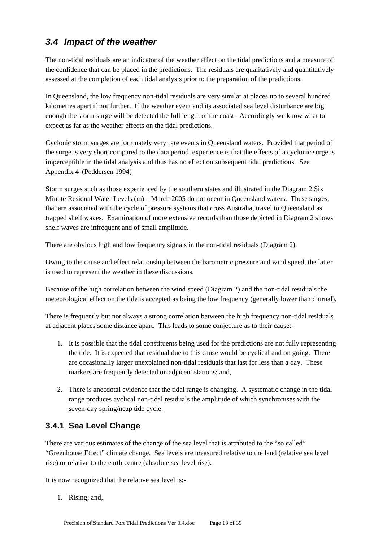## *3.4 Impact of the weather*

The non-tidal residuals are an indicator of the weather effect on the tidal predictions and a measure of the confidence that can be placed in the predictions. The residuals are qualitatively and quantitatively assessed at the completion of each tidal analysis prior to the preparation of the predictions.

In Queensland, the low frequency non-tidal residuals are very similar at places up to several hundred kilometres apart if not further. If the weather event and its associated sea level disturbance are big enough the storm surge will be detected the full length of the coast. Accordingly we know what to expect as far as the weather effects on the tidal predictions.

Cyclonic storm surges are fortunately very rare events in Queensland waters. Provided that period of the surge is very short compared to the data period, experience is that the effects of a cyclonic surge is imperceptible in the tidal analysis and thus has no effect on subsequent tidal predictions. See Appendix 4 (Peddersen 1994)

Storm surges such as those experienced by the southern states and illustrated in the Diagram 2 Six Minute Residual Water Levels (m) – March 2005 do not occur in Queensland waters. These surges, that are associated with the cycle of pressure systems that cross Australia, travel to Queensland as trapped shelf waves. Examination of more extensive records than those depicted in Diagram 2 shows shelf waves are infrequent and of small amplitude.

There are obvious high and low frequency signals in the non-tidal residuals (Diagram 2).

Owing to the cause and effect relationship between the barometric pressure and wind speed, the latter is used to represent the weather in these discussions.

Because of the high correlation between the wind speed (Diagram 2) and the non-tidal residuals the meteorological effect on the tide is accepted as being the low frequency (generally lower than diurnal).

There is frequently but not always a strong correlation between the high frequency non-tidal residuals at adjacent places some distance apart. This leads to some conjecture as to their cause:-

- 1. It is possible that the tidal constituents being used for the predictions are not fully representing the tide. It is expected that residual due to this cause would be cyclical and on going. There are occasionally larger unexplained non-tidal residuals that last for less than a day. These markers are frequently detected on adjacent stations; and,
- 2. There is anecdotal evidence that the tidal range is changing. A systematic change in the tidal range produces cyclical non-tidal residuals the amplitude of which synchronises with the seven-day spring/neap tide cycle.

## **3.4.1 Sea Level Change**

There are various estimates of the change of the sea level that is attributed to the "so called" "Greenhouse Effect" climate change. Sea levels are measured relative to the land (relative sea level rise) or relative to the earth centre (absolute sea level rise).

It is now recognized that the relative sea level is:-

1. Rising; and,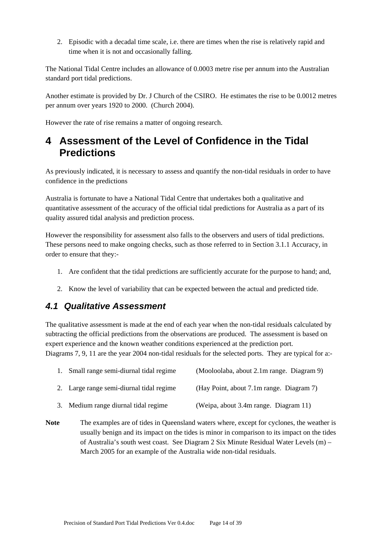2. Episodic with a decadal time scale, i.e. there are times when the rise is relatively rapid and time when it is not and occasionally falling.

The National Tidal Centre includes an allowance of 0.0003 metre rise per annum into the Australian standard port tidal predictions.

Another estimate is provided by Dr. J Church of the CSIRO. He estimates the rise to be 0.0012 metres per annum over years 1920 to 2000. (Church 2004).

However the rate of rise remains a matter of ongoing research.

## **4 Assessment of the Level of Confidence in the Tidal Predictions**

As previously indicated, it is necessary to assess and quantify the non-tidal residuals in order to have confidence in the predictions

Australia is fortunate to have a National Tidal Centre that undertakes both a qualitative and quantitative assessment of the accuracy of the official tidal predictions for Australia as a part of its quality assured tidal analysis and prediction process.

However the responsibility for assessment also falls to the observers and users of tidal predictions. These persons need to make ongoing checks, such as those referred to in Section 3.1.1 Accuracy, in order to ensure that they:-

- 1. Are confident that the tidal predictions are sufficiently accurate for the purpose to hand; and,
- 2. Know the level of variability that can be expected between the actual and predicted tide.

### *4.1 Qualitative Assessment*

The qualitative assessment is made at the end of each year when the non-tidal residuals calculated by subtracting the official predictions from the observations are produced. The assessment is based on expert experience and the known weather conditions experienced at the prediction port. Diagrams 7, 9, 11 are the year 2004 non-tidal residuals for the selected ports. They are typical for a:-

| $\mathbf{1}$ . | Small range semi-diurnal tidal regime    | (Mooloolaba, about 2.1m range. Diagram 9) |
|----------------|------------------------------------------|-------------------------------------------|
|                | 2. Large range semi-diurnal tidal regime | (Hay Point, about 7.1m range. Diagram 7)  |
|                | 3. Medium range diurnal tidal regime     | (Weipa, about 3.4m range. Diagram 11)     |

Note The examples are of tides in Queensland waters where, except for cyclones, the weather is usually benign and its impact on the tides is minor in comparison to its impact on the tides of Australia's south west coast. See Diagram 2 Six Minute Residual Water Levels (m) – March 2005 for an example of the Australia wide non-tidal residuals.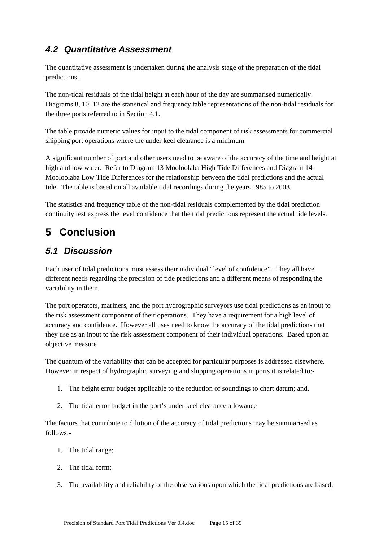## *4.2 Quantitative Assessment*

The quantitative assessment is undertaken during the analysis stage of the preparation of the tidal predictions.

The non-tidal residuals of the tidal height at each hour of the day are summarised numerically. Diagrams 8, 10, 12 are the statistical and frequency table representations of the non-tidal residuals for the three ports referred to in Section 4.1.

The table provide numeric values for input to the tidal component of risk assessments for commercial shipping port operations where the under keel clearance is a minimum.

A significant number of port and other users need to be aware of the accuracy of the time and height at high and low water. Refer to Diagram 13 Mooloolaba High Tide Differences and Diagram 14 Mooloolaba Low Tide Differences for the relationship between the tidal predictions and the actual tide. The table is based on all available tidal recordings during the years 1985 to 2003.

The statistics and frequency table of the non-tidal residuals complemented by the tidal prediction continuity test express the level confidence that the tidal predictions represent the actual tide levels.

## **5 Conclusion**

## *5.1 Discussion*

Each user of tidal predictions must assess their individual "level of confidence". They all have different needs regarding the precision of tide predictions and a different means of responding the variability in them.

The port operators, mariners, and the port hydrographic surveyors use tidal predictions as an input to the risk assessment component of their operations. They have a requirement for a high level of accuracy and confidence. However all uses need to know the accuracy of the tidal predictions that they use as an input to the risk assessment component of their individual operations. Based upon an objective measure

The quantum of the variability that can be accepted for particular purposes is addressed elsewhere. However in respect of hydrographic surveying and shipping operations in ports it is related to:-

- 1. The height error budget applicable to the reduction of soundings to chart datum; and,
- 2. The tidal error budget in the port's under keel clearance allowance

The factors that contribute to dilution of the accuracy of tidal predictions may be summarised as follows:-

- 1. The tidal range;
- 2. The tidal form;
- 3. The availability and reliability of the observations upon which the tidal predictions are based;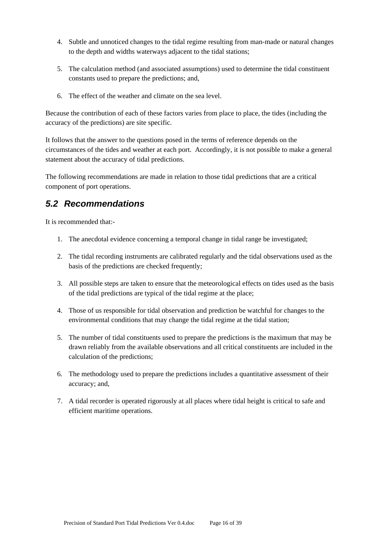- 4. Subtle and unnoticed changes to the tidal regime resulting from man-made or natural changes to the depth and widths waterways adjacent to the tidal stations;
- 5. The calculation method (and associated assumptions) used to determine the tidal constituent constants used to prepare the predictions; and,
- 6. The effect of the weather and climate on the sea level.

Because the contribution of each of these factors varies from place to place, the tides (including the accuracy of the predictions) are site specific.

It follows that the answer to the questions posed in the terms of reference depends on the circumstances of the tides and weather at each port. Accordingly, it is not possible to make a general statement about the accuracy of tidal predictions.

The following recommendations are made in relation to those tidal predictions that are a critical component of port operations.

### *5.2 Recommendations*

It is recommended that:-

- 1. The anecdotal evidence concerning a temporal change in tidal range be investigated;
- 2. The tidal recording instruments are calibrated regularly and the tidal observations used as the basis of the predictions are checked frequently;
- 3. All possible steps are taken to ensure that the meteorological effects on tides used as the basis of the tidal predictions are typical of the tidal regime at the place;
- 4. Those of us responsible for tidal observation and prediction be watchful for changes to the environmental conditions that may change the tidal regime at the tidal station;
- 5. The number of tidal constituents used to prepare the predictions is the maximum that may be drawn reliably from the available observations and all critical constituents are included in the calculation of the predictions;
- 6. The methodology used to prepare the predictions includes a quantitative assessment of their accuracy; and,
- 7. A tidal recorder is operated rigorously at all places where tidal height is critical to safe and efficient maritime operations.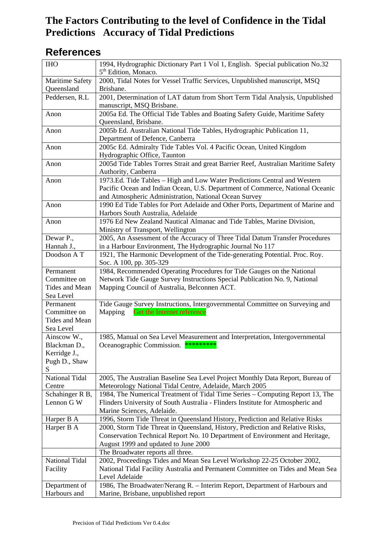## **References**

| <b>IHO</b>                     | 1994, Hydrographic Dictionary Part 1 Vol 1, English. Special publication No.32<br>5 <sup>th</sup> Edition, Monaco. |
|--------------------------------|--------------------------------------------------------------------------------------------------------------------|
| Maritime Safety                | 2000, Tidal Notes for Vessel Traffic Services, Unpublished manuscript, MSQ                                         |
| Queensland                     | Brisbane.                                                                                                          |
| Peddersen, R.L                 | 2001, Determination of LAT datum from Short Term Tidal Analysis, Unpublished                                       |
|                                | manuscript, MSQ Brisbane.                                                                                          |
| Anon                           | 2005a Ed. The Official Tide Tables and Boating Safety Guide, Maritime Safety                                       |
|                                | Queensland, Brisbane.                                                                                              |
| Anon                           | 2005b Ed. Australian National Tide Tables, Hydrographic Publication 11,                                            |
|                                | Department of Defence, Canberra                                                                                    |
| Anon                           | 2005c Ed. Admiralty Tide Tables Vol. 4 Pacific Ocean, United Kingdom                                               |
|                                | Hydrographic Office, Taunton                                                                                       |
| Anon                           | 2005d Tide Tables Torres Strait and great Barrier Reef, Australian Maritime Safety                                 |
|                                | Authority, Canberra                                                                                                |
| Anon                           | 1973.Ed. Tide Tables - High and Low Water Predictions Central and Western                                          |
|                                | Pacific Ocean and Indian Ocean, U.S. Department of Commerce, National Oceanic                                      |
|                                | and Atmospheric Administration, National Ocean Survey                                                              |
| Anon                           | 1990 Ed Tide Tables for Port Adelaide and Other Ports, Department of Marine and                                    |
|                                | Harbors South Australia, Adelaide                                                                                  |
| Anon                           | 1976 Ed New Zealand Nautical Almanac and Tide Tables, Marine Division,                                             |
|                                | Ministry of Transport, Wellington                                                                                  |
| Dewar P.,                      | 2005, An Assessment of the Accuracy of Three Tidal Datum Transfer Procedures                                       |
| Hannah J.,                     | in a Harbour Environment, The Hydrographic Journal No 117                                                          |
| Doodson AT                     | 1921, The Harmonic Development of the Tide-generating Potential. Proc. Roy.                                        |
|                                | Soc. A 100, pp. 305-329                                                                                            |
| Permanent                      | 1984, Recommended Operating Procedures for Tide Gauges on the National                                             |
| Committee on                   | Network Tide Gauge Survey Instructions Special Publication No. 9, National                                         |
| Tides and Mean                 | Mapping Council of Australia, Belconnen ACT.                                                                       |
| Sea Level                      |                                                                                                                    |
| Permanent                      | Tide Gauge Survey Instructions, Intergovernmental Committee on Surveying and                                       |
| Committee on<br>Tides and Mean | Mapping<br>Get the Internet reference                                                                              |
| Sea Level                      |                                                                                                                    |
| Ainscow W.,                    | 1985, Manual on Sea Level Measurement and Interpretation, Intergovernmental                                        |
| Blackman D.                    | Oceanographic Commission. *********                                                                                |
| Kerridge J.,                   |                                                                                                                    |
| Pugh D., Shaw                  |                                                                                                                    |
| S                              |                                                                                                                    |
| National Tidal                 | 2005, The Australian Baseline Sea Level Project Monthly Data Report, Bureau of                                     |
| Centre                         | Meteorology National Tidal Centre, Adelaide, March 2005                                                            |
| Schahinger R B,                | 1984, The Numerical Treatment of Tidal Time Series - Computing Report 13, The                                      |
| Lennon G W                     | Flinders University of South Australia - Flinders Institute for Atmospheric and                                    |
|                                | Marine Sciences, Adelaide.                                                                                         |
| Harper B A                     | 1996, Storm Tide Threat in Queensland History, Prediction and Relative Risks                                       |
| Harper B A                     | 2000, Storm Tide Threat in Queensland, History, Prediction and Relative Risks,                                     |
|                                | Conservation Technical Report No. 10 Department of Environment and Heritage,                                       |
|                                | August 1999 and updated to June 2000                                                                               |
|                                | The Broadwater reports all three.                                                                                  |
| National Tidal                 | 2002, Proceedings Tides and Mean Sea Level Workshop 22-25 October 2002,                                            |
| Facility                       | National Tidal Facility Australia and Permanent Committee on Tides and Mean Sea                                    |
|                                | Level Adelaide                                                                                                     |
| Department of                  | 1986, The Broadwater/Nerang R. - Interim Report, Department of Harbours and                                        |
| Harbours and                   | Marine, Brisbane, unpublished report                                                                               |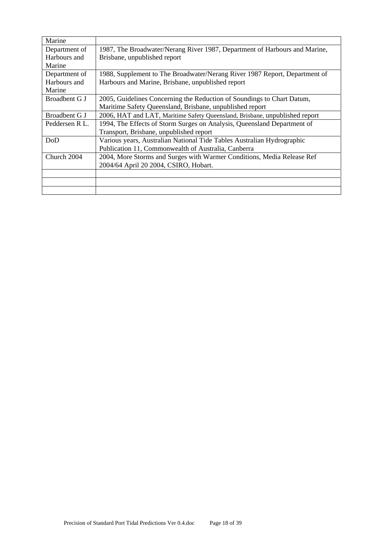| Marine         |                                                                             |
|----------------|-----------------------------------------------------------------------------|
| Department of  | 1987, The Broadwater/Nerang River 1987, Department of Harbours and Marine,  |
| Harbours and   | Brisbane, unpublished report                                                |
| Marine         |                                                                             |
| Department of  | 1988, Supplement to The Broadwater/Nerang River 1987 Report, Department of  |
| Harbours and   | Harbours and Marine, Brisbane, unpublished report                           |
| Marine         |                                                                             |
| Broadbent G J  | 2005, Guidelines Concerning the Reduction of Soundings to Chart Datum,      |
|                | Maritime Safety Queensland, Brisbane, unpublished report                    |
| Broadbent G J  | 2006, HAT and LAT, Maritime Safety Queensland, Brisbane, unpublished report |
| Peddersen R L. | 1994, The Effects of Storm Surges on Analysis, Queensland Department of     |
|                | Transport, Brisbane, unpublished report                                     |
| DoD            | Various years, Australian National Tide Tables Australian Hydrographic      |
|                | Publication 11, Commonwealth of Australia, Canberra                         |
| Church 2004    | 2004, More Storms and Surges with Warmer Conditions, Media Release Ref      |
|                | 2004/64 April 20 2004, CSIRO, Hobart.                                       |
|                |                                                                             |
|                |                                                                             |
|                |                                                                             |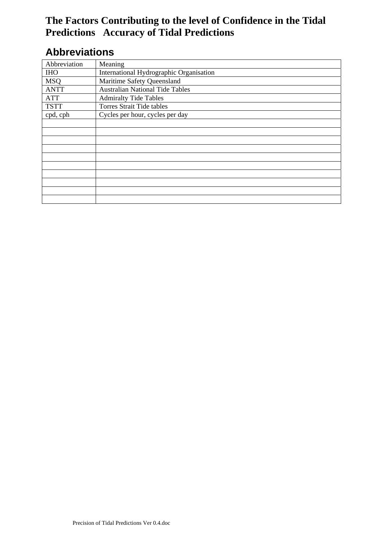## **Abbreviations**

| Abbreviation | Meaning                                 |
|--------------|-----------------------------------------|
| <b>IHO</b>   | International Hydrographic Organisation |
| <b>MSQ</b>   | Maritime Safety Queensland              |
| <b>ANTT</b>  | <b>Australian National Tide Tables</b>  |
| <b>ATT</b>   | <b>Admiralty Tide Tables</b>            |
| <b>TSTT</b>  | <b>Torres Strait Tide tables</b>        |
| cpd, cph     | Cycles per hour, cycles per day         |
|              |                                         |
|              |                                         |
|              |                                         |
|              |                                         |
|              |                                         |
|              |                                         |
|              |                                         |
|              |                                         |
|              |                                         |
|              |                                         |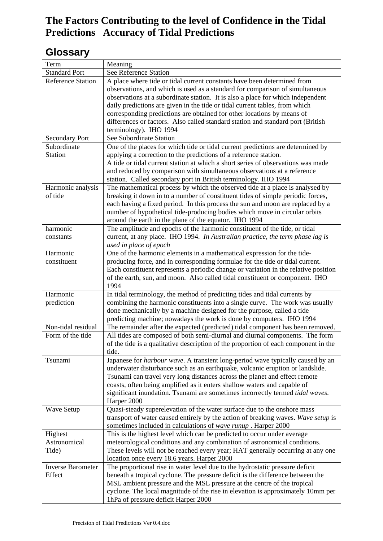## **Glossary**

| Term                     | Meaning                                                                                                                                                      |
|--------------------------|--------------------------------------------------------------------------------------------------------------------------------------------------------------|
| <b>Standard Port</b>     | See Reference Station                                                                                                                                        |
| <b>Reference Station</b> | A place where tide or tidal current constants have been determined from                                                                                      |
|                          | observations, and which is used as a standard for comparison of simultaneous                                                                                 |
|                          | observations at a subordinate station. It is also a place for which independent                                                                              |
|                          | daily predictions are given in the tide or tidal current tables, from which                                                                                  |
|                          | corresponding predictions are obtained for other locations by means of                                                                                       |
|                          | differences or factors. Also called standard station and standard port (British                                                                              |
|                          | terminology). IHO 1994                                                                                                                                       |
| <b>Secondary Port</b>    | See Subordinate Station                                                                                                                                      |
| Subordinate              | One of the places for which tide or tidal current predictions are determined by                                                                              |
| <b>Station</b>           | applying a correction to the predictions of a reference station.                                                                                             |
|                          | A tide or tidal current station at which a short series of observations was made                                                                             |
|                          | and reduced by comparison with simultaneous observations at a reference                                                                                      |
|                          | station. Called secondary port in British terminology. IHO 1994                                                                                              |
| Harmonic analysis        | The mathematical process by which the observed tide at a place is analysed by                                                                                |
| of tide                  | breaking it down in to a number of constituent tides of simple periodic forces,                                                                              |
|                          | each having a fixed period. In this process the sun and moon are replaced by a                                                                               |
|                          | number of hypothetical tide-producing bodies which move in circular orbits                                                                                   |
|                          | around the earth in the plane of the equator. IHO 1994                                                                                                       |
| harmonic                 | The amplitude and epochs of the harmonic constituent of the tide, or tidal<br>current, at any place. IHO 1994. In Australian practice, the term phase lag is |
| constants                |                                                                                                                                                              |
| Harmonic                 | used in place of epoch<br>One of the harmonic elements in a mathematical expression for the tide-                                                            |
| constituent              | producing force, and in corresponding formulae for the tide or tidal current.                                                                                |
|                          | Each constituent represents a periodic change or variation in the relative position                                                                          |
|                          | of the earth, sun, and moon. Also called tidal constituent or component. IHO                                                                                 |
|                          | 1994                                                                                                                                                         |
| Harmonic                 | In tidal terminology, the method of predicting tides and tidal currents by                                                                                   |
| prediction               | combining the harmonic constituents into a single curve. The work was usually                                                                                |
|                          | done mechanically by a machine designed for the purpose, called a tide                                                                                       |
|                          | predicting machine; nowadays the work is done by computers. IHO 1994                                                                                         |
| Non-tidal residual       | The remainder after the expected (predicted) tidal component has been removed.                                                                               |
| Form of the tide         | All tides are composed of both semi-diurnal and diurnal components. The form                                                                                 |
|                          | of the tide is a qualitative description of the proportion of each component in the                                                                          |
|                          | tide.                                                                                                                                                        |
| Tsunami                  | Japanese for <i>harbour wave</i> . A transient long-period wave typically caused by an                                                                       |
|                          | underwater disturbance such as an earthquake, volcanic eruption or landslide.                                                                                |
|                          | Tsunami can travel very long distances across the planet and effect remote                                                                                   |
|                          | coasts, often being amplified as it enters shallow waters and capable of                                                                                     |
|                          | significant inundation. Tsunami are sometimes incorrectly termed tidal waves.                                                                                |
|                          | Harper 2000                                                                                                                                                  |
| Wave Setup               | Quasi-steady superelevation of the water surface due to the onshore mass                                                                                     |
|                          | transport of water caused entirely by the action of breaking waves. Wave setup is                                                                            |
|                          | sometimes included in calculations of wave runup. Harper 2000                                                                                                |
| Highest                  | This is the highest level which can be predicted to occur under average                                                                                      |
| Astronomical             | meteorological conditions and any combination of astronomical conditions.                                                                                    |
| Tide)                    | These levels will not be reached every year; HAT generally occurring at any one                                                                              |
|                          | location once every 18.6 years. Harper 2000                                                                                                                  |
| <b>Inverse Barometer</b> | The proportional rise in water level due to the hydrostatic pressure deficit                                                                                 |
| Effect                   | beneath a tropical cyclone. The pressure deficit is the difference between the                                                                               |
|                          | MSL ambient pressure and the MSL pressure at the centre of the tropical                                                                                      |
|                          | cyclone. The local magnitude of the rise in elevation is approximately 10mm per<br>1hPa of pressure deficit Harper 2000                                      |
|                          |                                                                                                                                                              |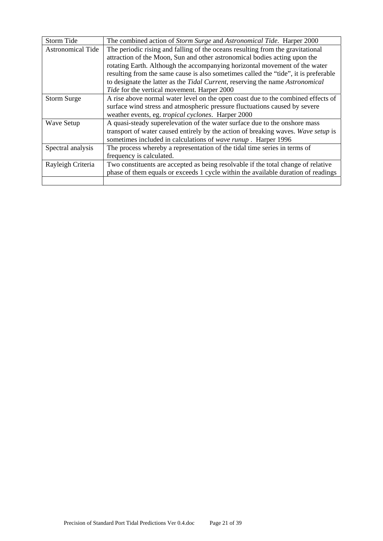| Storm Tide               | The combined action of <i>Storm Surge</i> and <i>Astronomical Tide</i> . Harper 2000 |
|--------------------------|--------------------------------------------------------------------------------------|
| <b>Astronomical Tide</b> | The periodic rising and falling of the oceans resulting from the gravitational       |
|                          | attraction of the Moon, Sun and other astronomical bodies acting upon the            |
|                          | rotating Earth. Although the accompanying horizontal movement of the water           |
|                          | resulting from the same cause is also sometimes called the "tide", it is preferable  |
|                          | to designate the latter as the Tidal Current, reserving the name Astronomical        |
|                          | Tide for the vertical movement. Harper 2000                                          |
| <b>Storm Surge</b>       | A rise above normal water level on the open coast due to the combined effects of     |
|                          | surface wind stress and atmospheric pressure fluctuations caused by severe           |
|                          | weather events, eg. tropical cyclones. Harper 2000                                   |
| <b>Wave Setup</b>        | A quasi-steady superelevation of the water surface due to the onshore mass           |
|                          | transport of water caused entirely by the action of breaking waves. Wave setup is    |
|                          | sometimes included in calculations of wave runup. Harper 1996                        |
| Spectral analysis        | The process whereby a representation of the tidal time series in terms of            |
|                          | frequency is calculated.                                                             |
| Rayleigh Criteria        | Two constituents are accepted as being resolvable if the total change of relative    |
|                          | phase of them equals or exceeds 1 cycle within the available duration of readings    |
|                          |                                                                                      |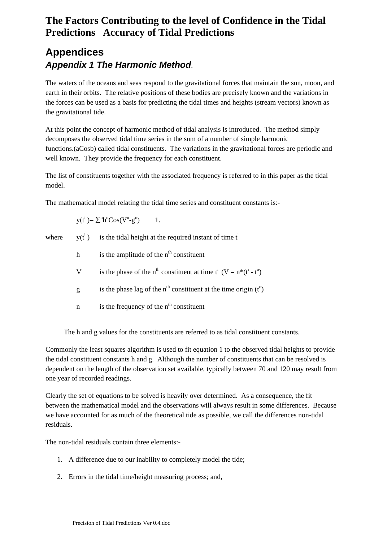## **Appendices**  *Appendix 1 The Harmonic Method*.

The waters of the oceans and seas respond to the gravitational forces that maintain the sun, moon, and earth in their orbits. The relative positions of these bodies are precisely known and the variations in the forces can be used as a basis for predicting the tidal times and heights (stream vectors) known as the gravitational tide.

At this point the concept of harmonic method of tidal analysis is introduced. The method simply decomposes the observed tidal time series in the sum of a number of simple harmonic functions.(aCosb) called tidal constituents. The variations in the gravitational forces are periodic and well known. They provide the frequency for each constituent.

The list of constituents together with the associated frequency is referred to in this paper as the tidal model.

The mathematical model relating the tidal time series and constituent constants is:-

 $y(t^i)$  is the tidal height at the required instant of time  $t^i$ 

 $y(t^i) = \sum^n h^n \text{Cos}(V^n - g^n)$ ) 1.

where

- h is the amplitude of the  $n<sup>th</sup>$  constituent
- V is the phase of the n<sup>th</sup> constituent at time  $t^i$  (V = n<sup>\*</sup>( $t^i$   $t^o$ )
- g is the phase lag of the  $n<sup>th</sup>$  constituent at the time origin ( $t<sup>o</sup>$ )
	- n is the frequency of the  $n<sup>th</sup>$  constituent

The h and g values for the constituents are referred to as tidal constituent constants.

Commonly the least squares algorithm is used to fit equation 1 to the observed tidal heights to provide the tidal constituent constants h and g. Although the number of constituents that can be resolved is dependent on the length of the observation set available, typically between 70 and 120 may result from one year of recorded readings.

Clearly the set of equations to be solved is heavily over determined. As a consequence, the fit between the mathematical model and the observations will always result in some differences. Because we have accounted for as much of the theoretical tide as possible, we call the differences non-tidal residuals.

The non-tidal residuals contain three elements:-

- 1. A difference due to our inability to completely model the tide;
- 2. Errors in the tidal time/height measuring process; and,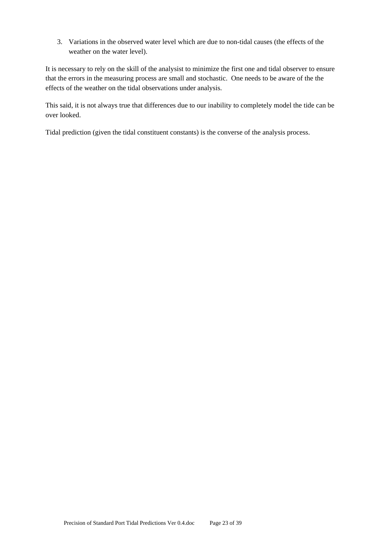3. Variations in the observed water level which are due to non-tidal causes (the effects of the weather on the water level).

It is necessary to rely on the skill of the analysist to minimize the first one and tidal observer to ensure that the errors in the measuring process are small and stochastic. One needs to be aware of the the effects of the weather on the tidal observations under analysis.

This said, it is not always true that differences due to our inability to completely model the tide can be over looked.

Tidal prediction (given the tidal constituent constants) is the converse of the analysis process.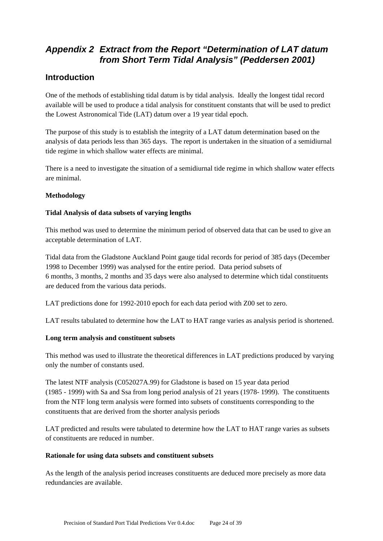## *Appendix 2 Extract from the Report "Determination of LAT datum from Short Term Tidal Analysis" (Peddersen 2001)*

### **Introduction**

One of the methods of establishing tidal datum is by tidal analysis. Ideally the longest tidal record available will be used to produce a tidal analysis for constituent constants that will be used to predict the Lowest Astronomical Tide (LAT) datum over a 19 year tidal epoch.

The purpose of this study is to establish the integrity of a LAT datum determination based on the analysis of data periods less than 365 days. The report is undertaken in the situation of a semidiurnal tide regime in which shallow water effects are minimal.

There is a need to investigate the situation of a semidiurnal tide regime in which shallow water effects are minimal.

### **Methodology**

### **Tidal Analysis of data subsets of varying lengths**

This method was used to determine the minimum period of observed data that can be used to give an acceptable determination of LAT.

Tidal data from the Gladstone Auckland Point gauge tidal records for period of 385 days (December 1998 to December 1999) was analysed for the entire period. Data period subsets of 6 months, 3 months, 2 months and 35 days were also analysed to determine which tidal constituents are deduced from the various data periods.

LAT predictions done for 1992-2010 epoch for each data period with Z00 set to zero.

LAT results tabulated to determine how the LAT to HAT range varies as analysis period is shortened.

#### **Long term analysis and constituent subsets**

This method was used to illustrate the theoretical differences in LAT predictions produced by varying only the number of constants used.

The latest NTF analysis (C052027A.99) for Gladstone is based on 15 year data period (1985 - 1999) with Sa and Ssa from long period analysis of 21 years (1978- 1999). The constituents from the NTF long term analysis were formed into subsets of constituents corresponding to the constituents that are derived from the shorter analysis periods

LAT predicted and results were tabulated to determine how the LAT to HAT range varies as subsets of constituents are reduced in number.

#### **Rationale for using data subsets and constituent subsets**

As the length of the analysis period increases constituents are deduced more precisely as more data redundancies are available.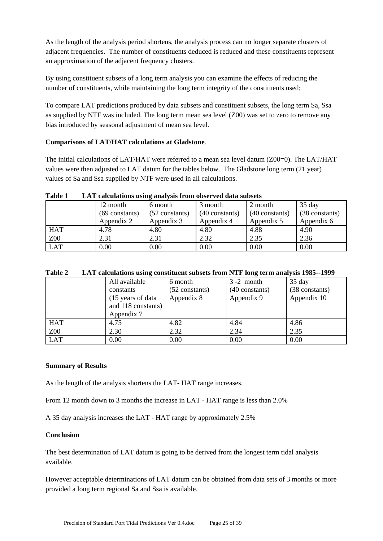As the length of the analysis period shortens, the analysis process can no longer separate clusters of adjacent frequencies. The number of constituents deduced is reduced and these constituents represent an approximation of the adjacent frequency clusters.

By using constituent subsets of a long term analysis you can examine the effects of reducing the number of constituents, while maintaining the long term integrity of the constituents used;

To compare LAT predictions produced by data subsets and constituent subsets, the long term Sa, Ssa as supplied by NTF was included. The long term mean sea level (Z00) was set to zero to remove any bias introduced by seasonal adjustment of mean sea level.

#### **Comparisons of LAT/HAT calculations at Gladstone**.

The initial calculations of LAT/HAT were referred to a mean sea level datum (Z00=0). The LAT/HAT values were then adjusted to LAT datum for the tables below. The Gladstone long term (21 year) values of Sa and Ssa supplied by NTF were used in all calculations.

| -------<br>$22122$ verves with the second version (DAD 11 OND 11 OND 21 ON WEIGHT DERIVED |                  |                  |                  |                |                |  |  |
|-------------------------------------------------------------------------------------------|------------------|------------------|------------------|----------------|----------------|--|--|
|                                                                                           | 12 month         | 6 month          | 3 month          | 2 month        | $35$ day       |  |  |
|                                                                                           | $(69$ constants) | $(52$ constants) | $(40$ constants) | (40 constants) | (38 constants) |  |  |
|                                                                                           | Appendix 2       | Appendix 3       | Appendix 4       | Appendix 5     | Appendix 6     |  |  |
| <b>HAT</b>                                                                                | 4.78             | 4.80             | 4.80             | 4.88           | 4.90           |  |  |
| Z00                                                                                       | 2.31             | 2.31             | 2.32             | 2.35           | 2.36           |  |  |
| <b>LAT</b>                                                                                | 0.00             | 0.00             | 0.00             | 0.00           | 0.00           |  |  |

#### **Table 1 LAT calculations using analysis from observed data subsets**

| Table 2 LAT calculations using constituent subsets from NTF long term analysis 1985--1999 |
|-------------------------------------------------------------------------------------------|
|-------------------------------------------------------------------------------------------|

| All available      | 6 month          | $3 - 2$ month  | $35$ day       |
|--------------------|------------------|----------------|----------------|
| constants          | $(52$ constants) | (40 constants) | (38 constants) |
| (15 years of data) | Appendix 8       | Appendix 9     | Appendix 10    |
| and 118 constants) |                  |                |                |
| Appendix 7         |                  |                |                |
| 4.75               | 4.82             | 4.84           | 4.86           |
| 2.30               | 2.32             | 2.34           | 2.35           |
| 0.00               | 0.00             | 0.00           | 0.00           |
|                    |                  |                |                |

#### **Summary of Results**

As the length of the analysis shortens the LAT- HAT range increases.

From 12 month down to 3 months the increase in LAT - HAT range is less than 2.0%

A 35 day analysis increases the LAT - HAT range by approximately 2.5%

#### **Conclusion**

The best determination of LAT datum is going to be derived from the longest term tidal analysis available.

However acceptable determinations of LAT datum can be obtained from data sets of 3 months or more provided a long term regional Sa and Ssa is available.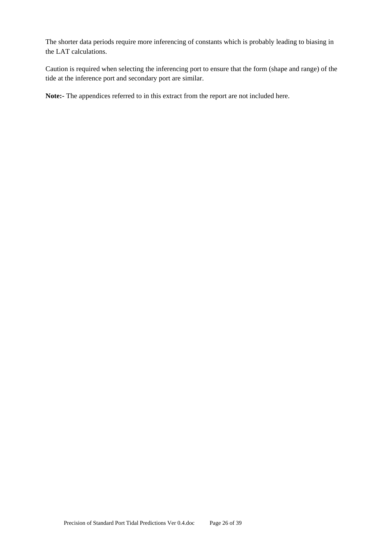The shorter data periods require more inferencing of constants which is probably leading to biasing in the LAT calculations.

Caution is required when selecting the inferencing port to ensure that the form (shape and range) of the tide at the inference port and secondary port are similar.

**Note:-** The appendices referred to in this extract from the report are not included here.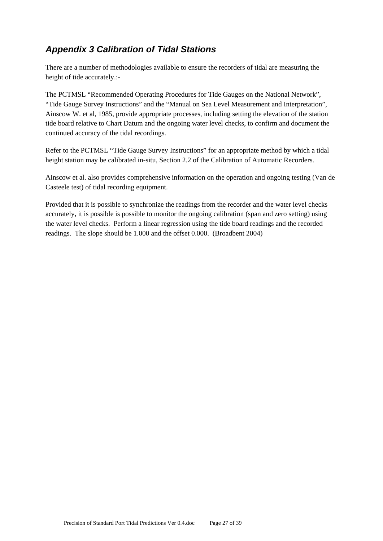## *Appendix 3 Calibration of Tidal Stations*

There are a number of methodologies available to ensure the recorders of tidal are measuring the height of tide accurately.:-

The PCTMSL "Recommended Operating Procedures for Tide Gauges on the National Network", "Tide Gauge Survey Instructions" and the "Manual on Sea Level Measurement and Interpretation", Ainscow W. et al, 1985, provide appropriate processes, including setting the elevation of the station tide board relative to Chart Datum and the ongoing water level checks, to confirm and document the continued accuracy of the tidal recordings.

Refer to the PCTMSL "Tide Gauge Survey Instructions" for an appropriate method by which a tidal height station may be calibrated in-situ, Section 2.2 of the Calibration of Automatic Recorders.

Ainscow et al. also provides comprehensive information on the operation and ongoing testing (Van de Casteele test) of tidal recording equipment.

Provided that it is possible to synchronize the readings from the recorder and the water level checks accurately, it is possible is possible to monitor the ongoing calibration (span and zero setting) using the water level checks. Perform a linear regression using the tide board readings and the recorded readings. The slope should be 1.000 and the offset 0.000. (Broadbent 2004)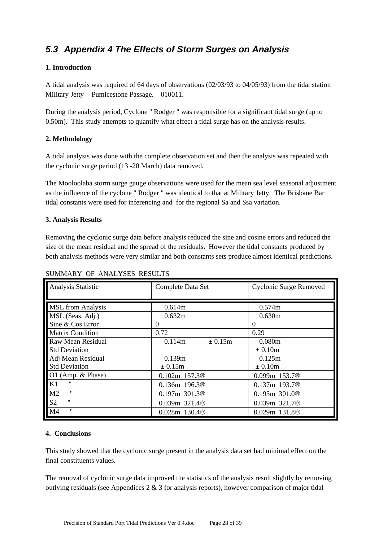## *5.3 Appendix 4 The Effects of Storm Surges on Analysis*

#### **1. Introduction**

A tidal analysis was required of 64 days of observations (02/03/93 to 04/05/93) from the tidal station Military Jetty - Pumicestone Passage. – 010011.

During the analysis period, Cyclone " Rodger " was responsible for a significant tidal surge (up to 0.50m). This study attempts to quantify what effect a tidal surge has on the analysis results.

### **2. Methodology**

A tidal analysis was done with the complete observation set and then the analysis was repeated with the cyclonic surge period (13 -20 March) data removed.

The Mooloolaba storm surge gauge observations were used for the mean sea level seasonal adjustment as the influence of the cyclone " Rodger " was identical to that at Military Jetty. The Brisbane Bar tidal constants were used for inferencing and for the regional Sa and Ssa variation.

#### **3. Analysis Results**

Removing the cyclonic surge data before analysis reduced the sine and cosine errors and reduced the size of the mean residual and the spread of the residuals. However the tidal constants produced by both analysis methods were very similar and both constants sets produce almost identical predictions.

| Analysis Statistic                  | Complete Data Set     | Cyclonic Surge Removed   |
|-------------------------------------|-----------------------|--------------------------|
| <b>MSL</b> from Analysis            | 0.614m                | 0.574m                   |
| MSL (Seas. Adj.)                    | 0.632m                | 0.630m                   |
| Sine & Cos Error                    | $\Omega$              | $\Omega$                 |
| Matrix Condition                    | 0.72                  | 0.29                     |
| Raw Mean Residual                   | 0.114m<br>$\pm 0.15m$ | 0.080m                   |
| <b>Std Deviation</b>                |                       | $\pm 0.10m$              |
| Adj Mean Residual                   | 0.139m                | 0.125m                   |
| <b>Std Deviation</b>                | $\pm 0.15$ m          | $\pm 0.10m$              |
| O1 (Amp. $& Phase$ )                | $0.102m$ 157.3 $@$    | $0.099m$ 153.7 $\otimes$ |
| <br>K1                              | $0.136m$ 196.3 $@$    | $0.137m$ 193.7 $@$       |
| "<br>M <sub>2</sub>                 | $0.197m$ 301.3 $@$    | $0.195m$ 301.0 $@$       |
| $^{\prime\prime}$<br>S <sub>2</sub> | $0.039m$ 321.4 $@$    | $0.039m$ 321.7 $@$       |
| "<br>M <sub>4</sub>                 | $0.028m$ 130.4 $@$    | $0.029m$ 131.8 $@$       |

#### SUMMARY OF ANALYSES RESULTS

#### **4. Conclusions**

This study showed that the cyclonic surge present in the analysis data set had minimal effect on the final constituents values.

The removal of cyclonic surge data improved the statistics of the analysis result slightly by removing outlying residuals (see Appendices  $2 \& 3$  for analysis reports), however comparison of major tidal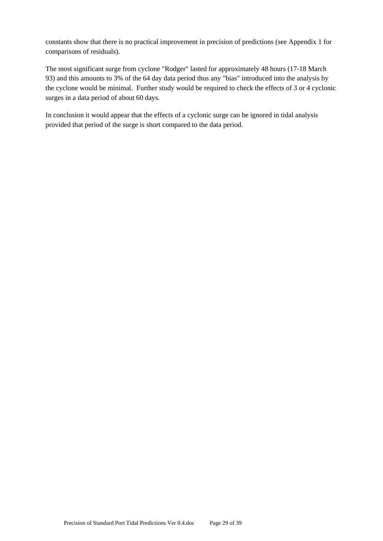constants show that there is no practical improvement in precision of predictions (see Appendix 1 for comparisons of residuals).

The most significant surge from cyclone "Rodger" lasted for approximately 48 hours (17-18 March 93) and this amounts to 3% of the 64 day data period thus any "bias" introduced into the analysis by the cyclone would be minimal. Further study would be required to check the effects of 3 or 4 cyclonic surges in a data period of about 60 days.

In conclusion it would appear that the effects of a cyclonic surge can be ignored in tidal analysis provided that period of the surge is short compared to the data period.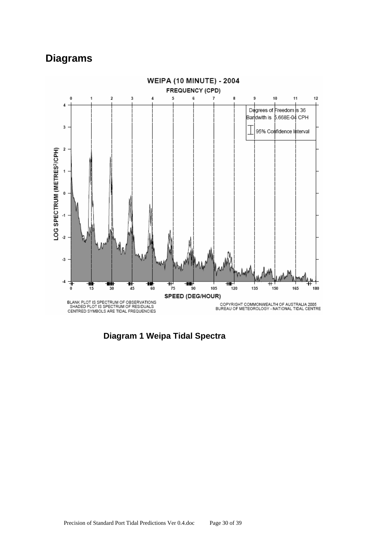## **Diagrams**



**Diagram 1 Weipa Tidal Spectra**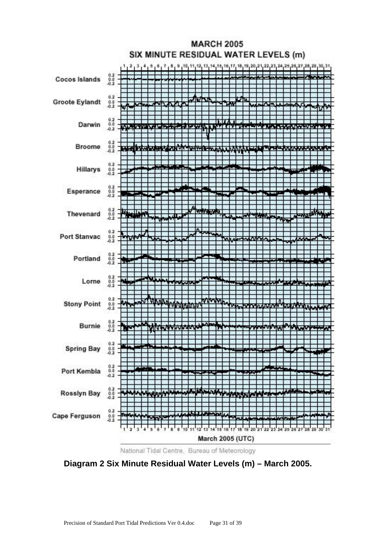

**Diagram 2 Six Minute Residual Water Levels (m) – March 2005.**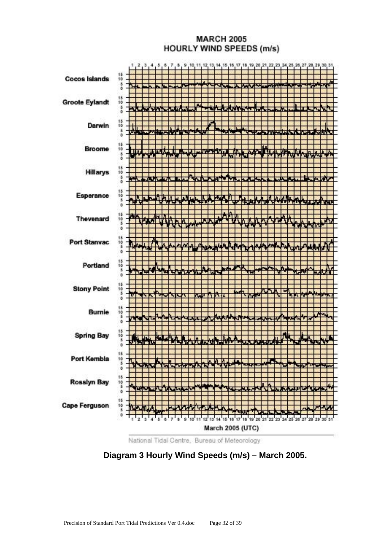### **MARCH 2005 HOURLY WIND SPEEDS (m/s)**



National Tidal Centre, Bureau of Meteorology

**Diagram 3 Hourly Wind Speeds (m/s) – March 2005.**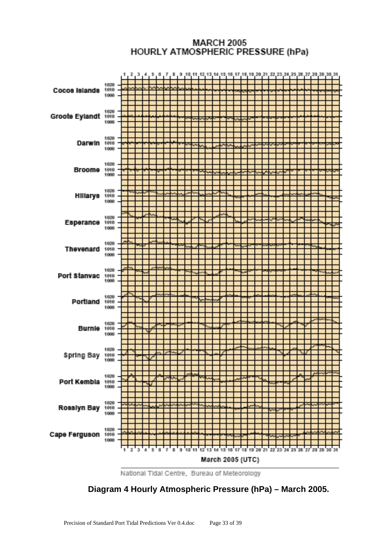### **MARCH 2005** HOURLY ATMOSPHERIC PRESSURE (hPa)



National Tidal Centre, Bureau of Meteorology

 **Diagram 4 Hourly Atmospheric Pressure (hPa) – March 2005.**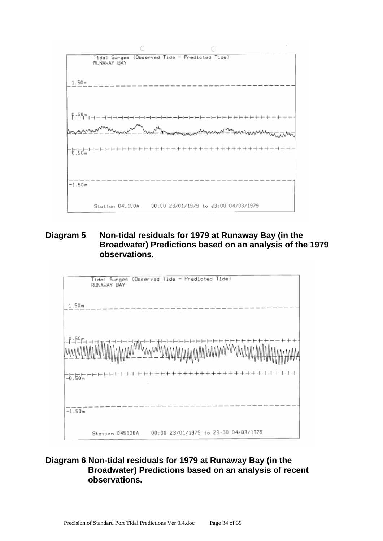

### **Diagram 5 Non-tidal residuals for 1979 at Runaway Bay (in the Broadwater) Predictions based on an analysis of the 1979 observations.**



### **Diagram 6 Non-tidal residuals for 1979 at Runaway Bay (in the Broadwater) Predictions based on an analysis of recent observations.**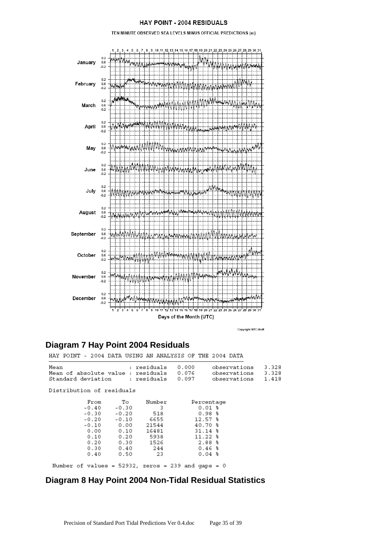#### HAY POINT - 2004 RESIDUALS

TEN MINUTE OBSERVED SEA LEVELS MINUS OFFICIAL PREDICTIONS (m)



Copyright:NTC-BoM

### **Diagram 7 Hay Point 2004 Residuals**

HAY POINT - 2004 DATA USING AN ANALYSIS OF THE 2004 DATA

| Mean                                     | : residuals       | 0.000 | observations 3.328 |  |
|------------------------------------------|-------------------|-------|--------------------|--|
| Mean of absolute value : residuals 0.076 |                   |       | observations 3.328 |  |
| Standard deviation                       | : residuals 0.097 |       | observations 1.418 |  |

Distribution of residuals

| From    | To      | Number | Percentage                                            |  |
|---------|---------|--------|-------------------------------------------------------|--|
| $-0.40$ | -0.30   | 3      | $0.01$ %                                              |  |
| $-0.30$ | $-0.20$ | 518    | $0.98$ %                                              |  |
| $-0.20$ | -0.10   | 6655   | $12.57$ %                                             |  |
| $-0.10$ | 0.00    | 21544  | 40.70 %                                               |  |
| 0.00    | 0.10    | 16481  | $31.14*$                                              |  |
| 0.10    | 0.20    | 5938   | $11.22$ %                                             |  |
| 0.20    | 0.30    | 1526   | 2.88%                                                 |  |
| 0.30    | 0.40    | 244    | 0.46%                                                 |  |
| 0.40    | 0.50    | 23     | $0.04$ %                                              |  |
|         |         |        |                                                       |  |
|         |         |        | Number of values = $52932$ , zeros = 239 and gaps = 0 |  |

### **Diagram 8 Hay Point 2004 Non-Tidal Residual Statistics**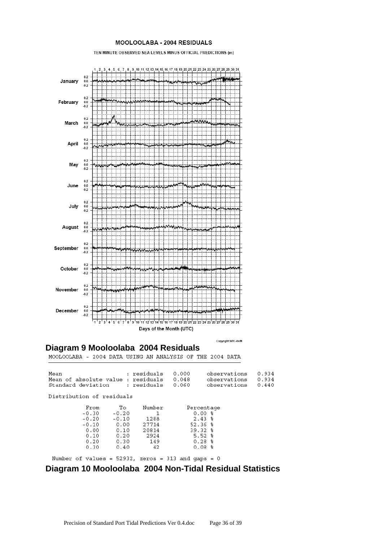#### MOOLOOLABA - 2004 RESIDUALS

TEN MINUTE OBSERVED SEA LEVELS MINUS OFFICIAL PREDICTIONS (m)



# **Diagram 9 Mooloolaba 2004 Residuals**<br>MOOLOOLABA - 2004 DATA USING AN ANALYSIS OF THE 2004 DATA

| Mean<br>Mean of absolute value : residuals 0.048<br>Standard deviation : residuals 0.060 |               | : residuals           | 0.000       | observations<br>observations<br>observations | 0.934<br>0.934<br>0.440 |
|------------------------------------------------------------------------------------------|---------------|-----------------------|-------------|----------------------------------------------|-------------------------|
| Distribution of residuals                                                                |               |                       |             |                                              |                         |
| From<br>$-0.30$                                                                          | To<br>$-0.20$ | Number<br>1           |             | Percentage<br>0.00%                          |                         |
| $-0.20$                                                                                  | $-0.10$ 0.00  | $-0.10$ 1288<br>27714 | 52.36%      | $2.43$ 8                                     |                         |
| 0.00<br>0.10                                                                             | 0.10          | 20814<br>0.20 2924    | $39.32$ $%$ | $5.52*$                                      |                         |
| 0.20<br>0.30                                                                             | 0.30<br>0.40  | 149<br>42             |             | $0.28$ %<br>$0.08$ %                         |                         |
| Number of values = 52932, zeros = 313 and gaps = 0                                       |               |                       |             |                                              |                         |

## **Diagram 10 Mooloolaba 2004 Non-Tidal Residual Statistics**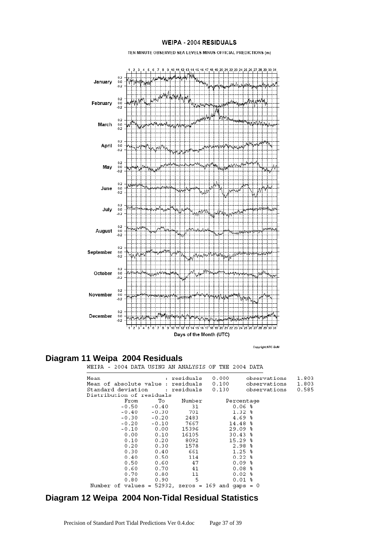#### **WEIPA - 2004 RESIDUALS**

TEN MINUTE OBSERVED SEA LEVELS MINUS OFFICIAL PREDICTIONS (m)



Copyright:NTC-BoM

# **Diagram 11 Weipa 2004 Residuals**<br>WEIPA - 2004 DATA USING AN ANALYSIS OF THE 2004 DATA

| Mean                                                  |         | : residuals | 0.000      | observations | 1.803 |
|-------------------------------------------------------|---------|-------------|------------|--------------|-------|
| Mean of absolute value : residuals 0.100              |         |             |            | observations | 1.803 |
| Standard deviation                                    |         | : residuals | 0.130      | observations | 0.585 |
| Distribution of residuals                             |         |             |            |              |       |
| From                                                  | To      | Number      | Percentage |              |       |
| $-0.50$                                               | $-0.40$ | - 31        |            | 0.06 %       |       |
| $-0.40$                                               | $-0.30$ | 701         | $1.32$ $%$ |              |       |
| $-0.30$                                               | $-0.20$ | 2483        | $4.69*$    |              |       |
| $-0.20$                                               | $-0.10$ | 7667        | $14.48*$   |              |       |
| $-0.10$                                               | 0.00    | 15396       | $29.09*$   |              |       |
| 0.00                                                  | 0.10    | 16105       | $30.43$ %  |              |       |
| 0.10                                                  | 0.20    | 8092        | $15.29*$   |              |       |
| 0.20                                                  | 0.30    | 1578        | 2.98%      |              |       |
| 0.30                                                  | 0.40    | 661         | $1.25$ %   |              |       |
| 0.40                                                  | 0.50    | 114         | $0.22$ %   |              |       |
| 0.50                                                  | 0.60    | 47          | $0.09$ %   |              |       |
| 0.60                                                  | 0.70    | 41          | $0.08$ %   |              |       |
| 0.70                                                  | 0.80    | 11          | $0.02$ %   |              |       |
| 0.80                                                  | 0.90    | 5           | $0.01$ %   |              |       |
| Number of values = $52932$ , zeros = 169 and gaps = 0 |         |             |            |              |       |

## **Diagram 12 Weipa 2004 Non-Tidal Residual Statistics**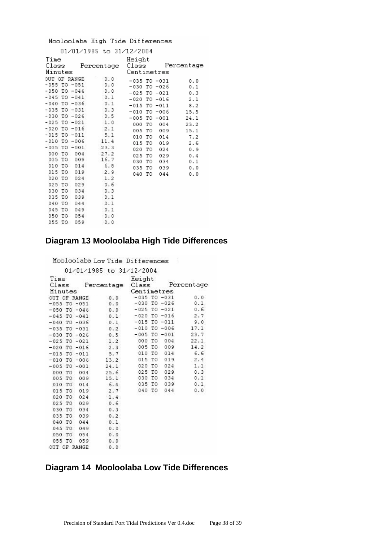#### Mooloolaba High Tide Differences

|                  |     | 01/01/1985 to 31/12/2004 |                  |     |            |
|------------------|-----|--------------------------|------------------|-----|------------|
| Time<br>Class    |     | Percentage               | Height<br>Class  |     | Percentage |
| Minutes          |     |                          | Centimetres      |     |            |
| OUT OF RANGE     |     | 0.0                      | $-035$ TO $-031$ |     | 0.0        |
| $-055$ TO $-051$ |     | 0.0                      | -030 TO -026     |     | 0.1        |
| -050 TO -046     |     | 0.0                      | $-025$ TO $-021$ |     | 0.3        |
| $-045$ TO $-041$ |     | 0.1                      | $-020$ TO $-016$ |     | 2.1        |
| $-040$ TO $-036$ |     | 0.1                      | $-015$ TO $-011$ |     | 8.2        |
| $-035$ TO $-031$ |     | 0.3                      | $-010$ TO $-006$ |     | 15.5       |
| $-030$ TO $-026$ |     | 0.5                      | $-005$ TO $-001$ |     | 24.1       |
| $-025$ TO $-021$ |     | 1.0                      | 000 TO           | 004 | 23.2       |
| $-020$ TO $-016$ |     | 2.1                      | 005 TO           | 009 | 15.1       |
| $-015$ TO $-011$ |     | 5.1                      | 010 TO           | 014 | 7.2        |
| $-010$ TO $-006$ |     | 11.4                     | 015 TO           | 019 | 2.6        |
| $-005$ TO $-001$ |     | 23.3                     | 020<br>TО        | 024 | 0.9        |
| 000 TO           | 004 | 27.2                     | 025 TO           | 029 | 0.4        |
| 005 TO           | 009 | 16.7                     | 030 TO           | 034 | 0.1        |
| 010 TO           | 014 | 6.8                      | 035 TO           | 039 | 0.0        |
| 015 TO           | 019 | 2.9                      | 040 TO           | 044 | 0.0        |
| 020 TO           | 024 | 1.2                      |                  |     |            |
| 025 TO           | 029 | 0.6                      |                  |     |            |
| 030 TO           | 034 | 0.3                      |                  |     |            |
| 035 TO           | 039 | 0.1                      |                  |     |            |
| 040 TO           | 044 | 0.1                      |                  |     |            |
| 045 TO           | 049 | 0.1                      |                  |     |            |
| 050 TO           | 054 | 0.0                      |                  |     |            |
| 055 TO           | 059 | 0.0                      |                  |     |            |

## **Diagram 13 Mooloolaba High Tide Differences**

Mooloolaba Low Tide Differences

|         |     |                  | 01/01/1985 to 31/12/2004 |                  |             |                  |            |  |
|---------|-----|------------------|--------------------------|------------------|-------------|------------------|------------|--|
| Time    |     |                  |                          | Height           |             |                  |            |  |
| Class   |     |                  | Percentage               | Class            |             |                  | Percentage |  |
| Minutes |     |                  |                          |                  | Centimetres |                  |            |  |
|         |     | OUT OF RANGE     | 0.0                      | $-035$ TO $-031$ |             |                  | 0.0        |  |
|         |     | $-055$ TO $-051$ | 0.0                      | $-030$ TO $-026$ |             |                  | 0.1        |  |
|         |     | $-050$ TO $-046$ | 0.0                      |                  |             | $-025$ TO $-021$ | 0.6        |  |
|         |     | $-045$ TO $-041$ | 0.1                      |                  |             | $-020$ TO $-016$ | 2.7        |  |
|         |     | $-040$ TO $-036$ | 0.1                      | $-015$ TO $-011$ |             |                  | 9.0        |  |
|         |     | $-035$ TO $-031$ | 0.2                      | $-010$ TO $-006$ |             |                  | 17.1       |  |
|         |     | $-030$ TO $-026$ | 0.5                      | $-005$ TO $-001$ |             |                  | 23.7       |  |
|         |     | $-025$ TO $-021$ | 1.2                      | 000 TO           |             | 004              | 22.1       |  |
|         |     | $-020$ TO $-016$ | 2.3                      | 005 TO           |             | 009              | 14.2       |  |
|         |     | $-015$ TO $-011$ | 5.7                      | 010 TO           |             | 014              | 6.6        |  |
| $-010$  |     | $TO - 006$       | 13.2                     | 015 TO           |             | 019              | 2.4        |  |
|         |     | $-005$ TO $-001$ | 24.1                     | 020 TO           |             | 024              | 1.1        |  |
| 000 TO  |     | 004              | 25.6                     | 025 TO           |             | 029              | 0.3        |  |
| 005 TO  |     | 009              | 15.1                     | 030 TO           |             | 034              | 0.1        |  |
| 010 TO  |     | 014              | 6.4                      | 035 TO           |             | 039              | 0.1        |  |
| 015 TO  |     | 019              | 2.7                      | 040 TO           |             | 044              | 0.0        |  |
| 020 TO  |     | 024              | 1.4                      |                  |             |                  |            |  |
| 025 TO  |     | 029              | 0.6                      |                  |             |                  |            |  |
| 030 TO  |     | 034              | 0.3                      |                  |             |                  |            |  |
| 035     | TO. | 039              | 0.2                      |                  |             |                  |            |  |
| 040 TO  |     | 044              | 0.1                      |                  |             |                  |            |  |
| 045 TO  |     | 049              | 0.0                      |                  |             |                  |            |  |
| 050 TO  |     | 054              | 0.0                      |                  |             |                  |            |  |
| 055 TO  |     | 059              | 0.0                      |                  |             |                  |            |  |
|         |     | OUT OF RANGE     | 0.0                      |                  |             |                  |            |  |

## **Diagram 14 Mooloolaba Low Tide Differences**